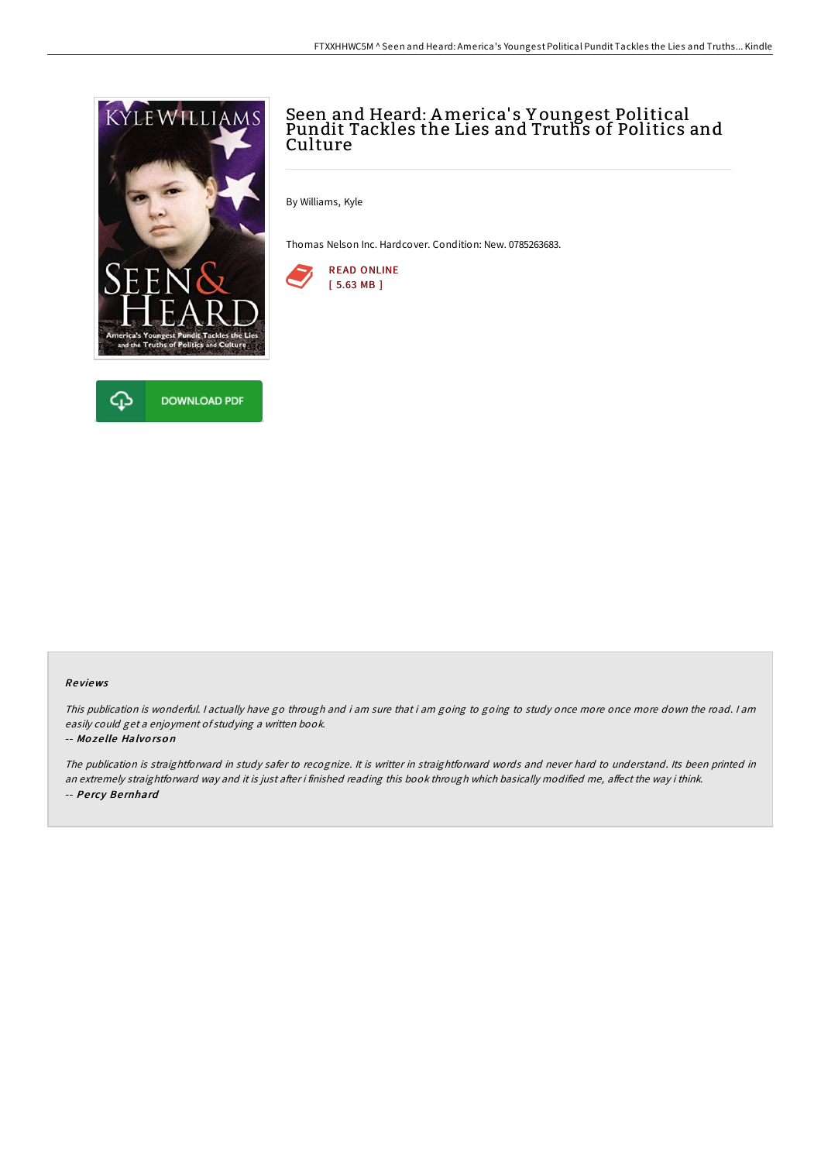



# Seen and Heard: America' s Y oungest Political Pundit Tackles the Lies and Truths of Politics and **Culture**

By Williams, Kyle

Thomas Nelson Inc. Hardcover. Condition: New. 0785263683.



## Re views

This publication is wonderful. I actually have go through and i am sure that i am going to going to study once more once more down the road. I am easily could get <sup>a</sup> enjoyment of studying <sup>a</sup> written book.

## -- Mo ze lle Halvo rso <sup>n</sup>

The publication is straightforward in study safer to recognize. It is writter in straightforward words and never hard to understand. Its been printed in an extremely straightforward way and it is just after i finished reading this book through which basically modified me, affect the way i think. -- Pe rcy Be rnhard